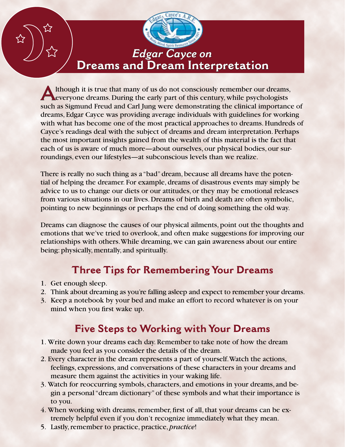# *Edgar Cayce on* **Dreams and Dream Interpretation**

**A** lthough it is true that many of us do not consciously remember our dreams, everyone dreams. During the early part of this century, while psychologists such as Sigmund Freud and Carl Jung were demonstrating the clinical importance of dreams, Edgar Cayce was providing average individuals with guidelines for working with what has become one of the most practical approaches to dreams. Hundreds of Cayce's readings deal with the subject of dreams and dream interpretation. Perhaps the most important insights gained from the wealth of this material is the fact that each of us is aware of much more—about ourselves, our physical bodies, our surroundings, even our lifestyles—at subconscious levels than we realize.

There is really no such thing as a "bad" dream, because all dreams have the potential of helping the dreamer. For example, dreams of disastrous events may simply be advice to us to change our diets or our attitudes, or they may be emotional releases from various situations in our lives. Dreams of birth and death are often symbolic, pointing to new beginnings or perhaps the end of doing something the old way.

Dreams can diagnose the causes of our physical ailments, point out the thoughts and emotions that we've tried to overlook, and often make suggestions for improving our relationships with others. While dreaming, we can gain awareness about our entire being: physically, mentally, and spiritually.

#### **Three Tips for Remembering Your Dreams**

- 1. Get enough sleep.
- 2. Think about dreaming as you're falling asleep and expect to remember your dreams.
- 3. Keep a notebook by your bed and make an effort to record whatever is on your mind when you first wake up.

#### **Five Steps to Working with Your Dreams**

- 1. Write down your dreams each day. Remember to take note of how the dream made you feel as you consider the details of the dream.
- 2. Every character in the dream represents a part of yourself. Watch the actions, feelings, expressions, and conversations of these characters in your dreams and measure them against the activities in your waking life.
- 3. Watch for reoccurring symbols, characters, and emotions in your dreams, and begin a personal "dream dictionary" of these symbols and what their importance is to you.
- 4. When working with dreams, remember, first of all, that your dreams can be extremely helpful even if you don't recognize immediately what they mean.
- 5. Lastly, remember to practice, practice, *practice*!